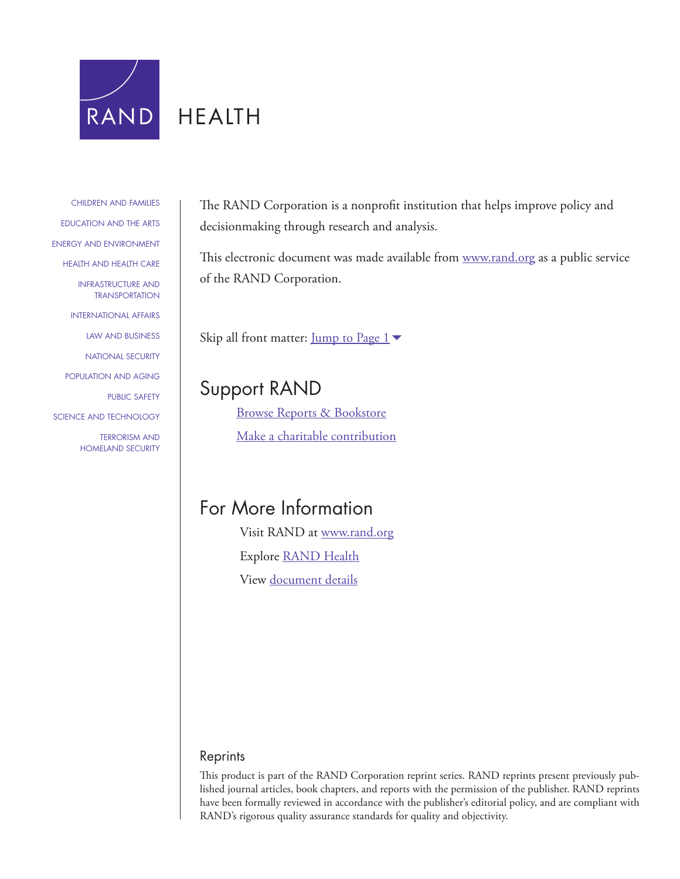

[CHILDREN AND FAMILIES](http://www.rand.org/pdfrd/topics/children-and-families.html)

[EDUCATION AND THE ARTS](http://www.rand.org/pdfrd/topics/education-and-the-arts.html)

[ENERGY AND ENVIRONMENT](http://www.rand.org/pdfrd/topics/energy-and-environment.html)

[HEALTH AND HEALTH CARE](http://www.rand.org/pdfrd/topics/health-and-health-care.html)

[INFRASTRUCTURE AND](http://www.rand.org/pdfrd/topics/infrastructure-and-transportation.html) **TRANSPORTATION** 

[INTERNATIONAL AFFAIRS](http://www.rand.org/pdfrd/topics/international-affairs.html)

[LAW AND BUSINESS](http://www.rand.org/pdfrd/topics/law-and-business.html)

[NATIONAL SECURITY](http://www.rand.org/pdfrd/topics/national-security.html)

[POPULATION AND AGING](http://www.rand.org/pdfrd/topics/population-and-aging.html)

[PUBLIC SAFETY](http://www.rand.org/pdfrd/topics/public-safety.html)

[SCIENCE AND TECHNOLOGY](http://www.rand.org/pdfrd/topics/science-and-technology.html)

TERRORISM AND [HOMELAND SECURITY](http://www.rand.org/pdfrd/topics/terrorism-and-homeland-security.html) The RAND Corporation is a nonprofit institution that helps improve policy and decisionmaking through research and analysis.

This electronic document was made available from [www.rand.org](http://www.rand.org/pdfrd/) as a public service of the RAND Corporation.

Skip all front matter:  $\underline{\text{Jump to Page 1}}$ 

# Support RAND

[Browse Reports & Bookstore](http://www.rand.org/pdfrd/pubs/online/) [Make a charitable contribution](http://www.rand.org/pdfrd/giving/contribute.html)

# For More Information

Visit RAND at [www.rand.org](http://www.rand.org/pdfrd/) Explore [RAND Health](http://www.rand.org/pdfrd/health/) View [document details](http://www.rand.org/pdfrd/pubs/reprints/RP874.html)

## **Reprints**

This product is part of the RAND Corporation reprint series. RAND reprints present previously published journal articles, book chapters, and reports with the permission of the publisher. RAND reprints have been formally reviewed in accordance with the publisher's editorial policy, and are compliant with RAND's rigorous quality assurance standards for quality and objectivity.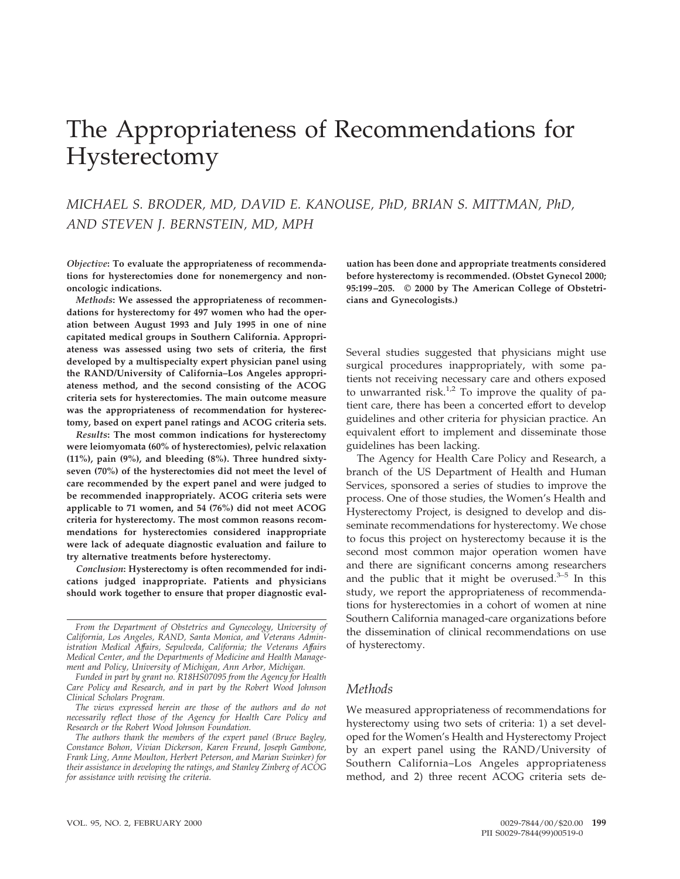# <span id="page-1-0"></span>The Appropriateness of Recommendations for Hysterectomy

# *MICHAEL S. BRODER, MD, DAVID E. KANOUSE, PhD, BRIAN S. MITTMAN, PhD, AND STEVEN J. BERNSTEIN, MD, MPH*

*Objective***: To evaluate the appropriateness of recommendations for hysterectomies done for nonemergency and nononcologic indications.**

*Methods***: We assessed the appropriateness of recommendations for hysterectomy for 497 women who had the operation between August 1993 and July 1995 in one of nine capitated medical groups in Southern California. Appropriateness was assessed using two sets of criteria, the first developed by a multispecialty expert physician panel using the RAND/University of California–Los Angeles appropriateness method, and the second consisting of the ACOG criteria sets for hysterectomies. The main outcome measure was the appropriateness of recommendation for hysterectomy, based on expert panel ratings and ACOG criteria sets.**

*Results***: The most common indications for hysterectomy were leiomyomata (60% of hysterectomies), pelvic relaxation (11%), pain (9%), and bleeding (8%). Three hundred sixtyseven (70%) of the hysterectomies did not meet the level of care recommended by the expert panel and were judged to be recommended inappropriately. ACOG criteria sets were applicable to 71 women, and 54 (76%) did not meet ACOG criteria for hysterectomy. The most common reasons recommendations for hysterectomies considered inappropriate were lack of adequate diagnostic evaluation and failure to try alternative treatments before hysterectomy.**

*Conclusion***: Hysterectomy is often recommended for indications judged inappropriate. Patients and physicians should work together to ensure that proper diagnostic eval-**

**uation has been done and appropriate treatments considered before hysterectomy is recommended. (Obstet Gynecol 2000; 95:199–205. © 2000 by The American College of Obstetricians and Gynecologists.)**

Several studies suggested that physicians might use surgical procedures inappropriately, with some patients not receiving necessary care and others exposed to unwarranted risk.<sup>1,2</sup> To improve the quality of patient care, there has been a concerted effort to develop guidelines and other criteria for physician practice. An equivalent effort to implement and disseminate those guidelines has been lacking.

The Agency for Health Care Policy and Research, a branch of the US Department of Health and Human Services, sponsored a series of studies to improve the process. One of those studies, the Women's Health and Hysterectomy Project, is designed to develop and disseminate recommendations for hysterectomy. We chose to focus this project on hysterectomy because it is the second most common major operation women have and there are significant concerns among researchers and the public that it might be overused. $3-5$  In this study, we report the appropriateness of recommendations for hysterectomies in a cohort of women at nine Southern California managed-care organizations before the dissemination of clinical recommendations on use of hysterectomy.

### *Methods*

We measured appropriateness of recommendations for hysterectomy using two sets of criteria: 1) a set developed for the Women's Health and Hysterectomy Project by an expert panel using the RAND/University of Southern California–Los Angeles appropriateness method, and 2) three recent ACOG criteria sets de-

*From the Department of Obstetrics and Gynecology, University of California, Los Angeles, RAND, Santa Monica, and Veterans Administration Medical Affairs, Sepulveda, California; the Veterans Affairs Medical Center, and the Departments of Medicine and Health Management and Policy, University of Michigan, Ann Arbor, Michigan.*

*Funded in part by grant no. R18HS07095 from the Agency for Health Care Policy and Research, and in part by the Robert Wood Johnson Clinical Scholars Program.*

*The views expressed herein are those of the authors and do not necessarily reflect those of the Agency for Health Care Policy and Research or the Robert Wood Johnson Foundation.*

*The authors thank the members of the expert panel (Bruce Bagley, Constance Bohon, Vivian Dickerson, Karen Freund, Joseph Gambone, Frank Ling, Anne Moulton, Herbert Peterson, and Marian Swinker) for their assistance in developing the ratings, and Stanley Zinberg of ACOG for assistance with revising the criteria.*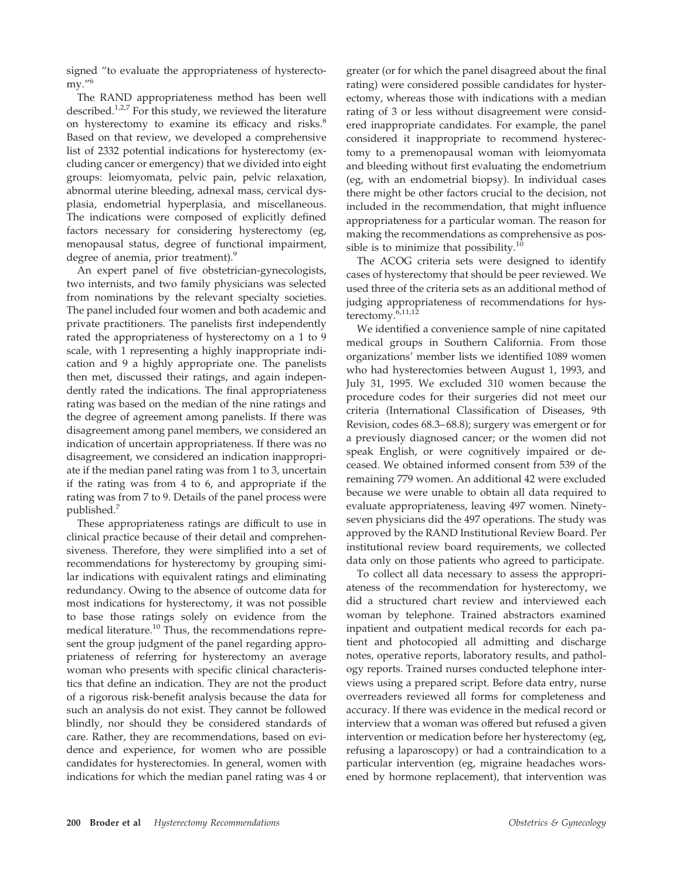signed "to evaluate the appropriateness of hysterectomy."6

The RAND appropriateness method has been well described. $1,2,7$  For this study, we reviewed the literature on hysterectomy to examine its efficacy and risks.<sup>8</sup> Based on that review, we developed a comprehensive list of 2332 potential indications for hysterectomy (excluding cancer or emergency) that we divided into eight groups: leiomyomata, pelvic pain, pelvic relaxation, abnormal uterine bleeding, adnexal mass, cervical dysplasia, endometrial hyperplasia, and miscellaneous. The indications were composed of explicitly defined factors necessary for considering hysterectomy (eg, menopausal status, degree of functional impairment, degree of anemia, prior treatment).<sup>9</sup>

An expert panel of five obstetrician-gynecologists, two internists, and two family physicians was selected from nominations by the relevant specialty societies. The panel included four women and both academic and private practitioners. The panelists first independently rated the appropriateness of hysterectomy on a 1 to 9 scale, with 1 representing a highly inappropriate indication and 9 a highly appropriate one. The panelists then met, discussed their ratings, and again independently rated the indications. The final appropriateness rating was based on the median of the nine ratings and the degree of agreement among panelists. If there was disagreement among panel members, we considered an indication of uncertain appropriateness. If there was no disagreement, we considered an indication inappropriate if the median panel rating was from 1 to 3, uncertain if the rating was from 4 to 6, and appropriate if the rating was from 7 to 9. Details of the panel process were published.7

These appropriateness ratings are difficult to use in clinical practice because of their detail and comprehensiveness. Therefore, they were simplified into a set of recommendations for hysterectomy by grouping similar indications with equivalent ratings and eliminating redundancy. Owing to the absence of outcome data for most indications for hysterectomy, it was not possible to base those ratings solely on evidence from the medical literature.<sup>10</sup> Thus, the recommendations represent the group judgment of the panel regarding appropriateness of referring for hysterectomy an average woman who presents with specific clinical characteristics that define an indication. They are not the product of a rigorous risk-benefit analysis because the data for such an analysis do not exist. They cannot be followed blindly, nor should they be considered standards of care. Rather, they are recommendations, based on evidence and experience, for women who are possible candidates for hysterectomies. In general, women with indications for which the median panel rating was 4 or

greater (or for which the panel disagreed about the final rating) were considered possible candidates for hysterectomy, whereas those with indications with a median rating of 3 or less without disagreement were considered inappropriate candidates. For example, the panel considered it inappropriate to recommend hysterectomy to a premenopausal woman with leiomyomata and bleeding without first evaluating the endometrium (eg, with an endometrial biopsy). In individual cases there might be other factors crucial to the decision, not included in the recommendation, that might influence appropriateness for a particular woman. The reason for making the recommendations as comprehensive as possible is to minimize that possibility.10

The ACOG criteria sets were designed to identify cases of hysterectomy that should be peer reviewed. We used three of the criteria sets as an additional method of judging appropriateness of recommendations for hysterectomy.6,11,12

We identified a convenience sample of nine capitated medical groups in Southern California. From those organizations' member lists we identified 1089 women who had hysterectomies between August 1, 1993, and July 31, 1995. We excluded 310 women because the procedure codes for their surgeries did not meet our criteria (International Classification of Diseases, 9th Revision, codes 68.3–68.8); surgery was emergent or for a previously diagnosed cancer; or the women did not speak English, or were cognitively impaired or deceased. We obtained informed consent from 539 of the remaining 779 women. An additional 42 were excluded because we were unable to obtain all data required to evaluate appropriateness, leaving 497 women. Ninetyseven physicians did the 497 operations. The study was approved by the RAND Institutional Review Board. Per institutional review board requirements, we collected data only on those patients who agreed to participate.

To collect all data necessary to assess the appropriateness of the recommendation for hysterectomy, we did a structured chart review and interviewed each woman by telephone. Trained abstractors examined inpatient and outpatient medical records for each patient and photocopied all admitting and discharge notes, operative reports, laboratory results, and pathology reports. Trained nurses conducted telephone interviews using a prepared script. Before data entry, nurse overreaders reviewed all forms for completeness and accuracy. If there was evidence in the medical record or interview that a woman was offered but refused a given intervention or medication before her hysterectomy (eg, refusing a laparoscopy) or had a contraindication to a particular intervention (eg, migraine headaches worsened by hormone replacement), that intervention was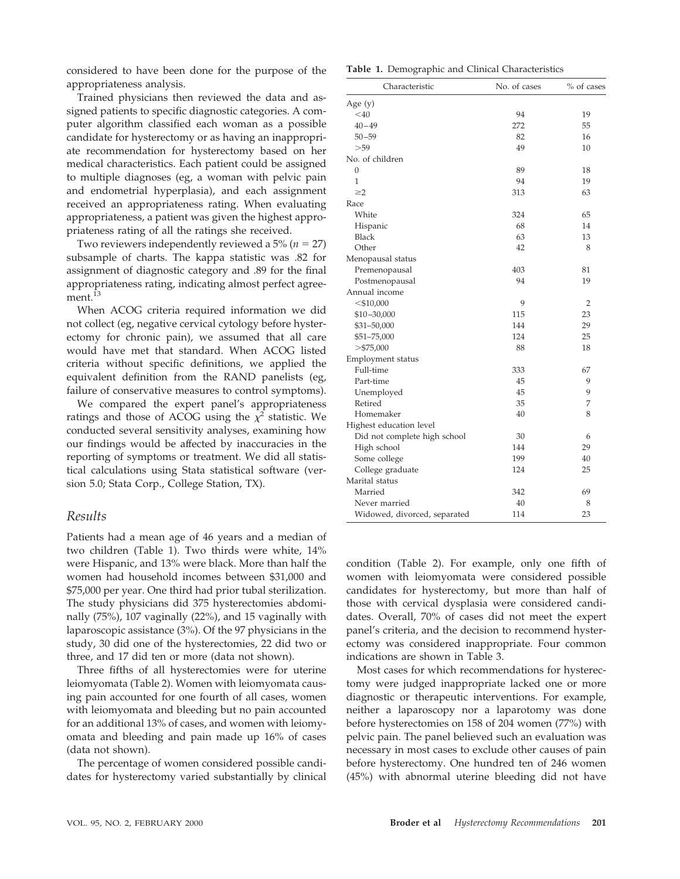considered to have been done for the purpose of the appropriateness analysis.

Trained physicians then reviewed the data and assigned patients to specific diagnostic categories. A computer algorithm classified each woman as a possible candidate for hysterectomy or as having an inappropriate recommendation for hysterectomy based on her medical characteristics. Each patient could be assigned to multiple diagnoses (eg, a woman with pelvic pain and endometrial hyperplasia), and each assignment received an appropriateness rating. When evaluating appropriateness, a patient was given the highest appropriateness rating of all the ratings she received.

Two reviewers independently reviewed a  $5\%$  ( $n = 27$ ) subsample of charts. The kappa statistic was .82 for assignment of diagnostic category and .89 for the final appropriateness rating, indicating almost perfect agreement. $13$ 

When ACOG criteria required information we did not collect (eg, negative cervical cytology before hysterectomy for chronic pain), we assumed that all care would have met that standard. When ACOG listed criteria without specific definitions, we applied the equivalent definition from the RAND panelists (eg, failure of conservative measures to control symptoms).

We compared the expert panel's appropriateness ratings and those of ACOG using the  $\chi^2$  statistic. We conducted several sensitivity analyses, examining how our findings would be affected by inaccuracies in the reporting of symptoms or treatment. We did all statistical calculations using Stata statistical software (version 5.0; Stata Corp., College Station, TX).

### *Results*

Patients had a mean age of 46 years and a median of two children (Table 1). Two thirds were white, 14% were Hispanic, and 13% were black. More than half the women had household incomes between \$31,000 and \$75,000 per year. One third had prior tubal sterilization. The study physicians did 375 hysterectomies abdominally (75%), 107 vaginally (22%), and 15 vaginally with laparoscopic assistance (3%). Of the 97 physicians in the study, 30 did one of the hysterectomies, 22 did two or three, and 17 did ten or more (data not shown).

Three fifths of all hysterectomies were for uterine leiomyomata (Table 2). Women with leiomyomata causing pain accounted for one fourth of all cases, women with leiomyomata and bleeding but no pain accounted for an additional 13% of cases, and women with leiomyomata and bleeding and pain made up 16% of cases (data not shown).

The percentage of women considered possible candidates for hysterectomy varied substantially by clinical

| Table 1. Demographic and Clinical Characteristics |  |
|---------------------------------------------------|--|
|---------------------------------------------------|--|

| Characteristic               | No. of cases | % of cases |
|------------------------------|--------------|------------|
| Age $(y)$                    |              |            |
| $<$ 40                       | 94           | 19         |
| $40 - 49$                    | 272          | 55         |
| $50 - 59$                    | 82           | 16         |
| >59                          | 49           | 10         |
| No. of children              |              |            |
| $\mathbf{0}$                 | 89           | 18         |
| 1                            | 94           | 19         |
| $\geq$ 2                     | 313          | 63         |
| Race                         |              |            |
| White                        | 324          | 65         |
| Hispanic                     | 68           | 14         |
| Black                        | 63           | 13         |
| Other                        | 42           | 8          |
| Menopausal status            |              |            |
| Premenopausal                | 403          | 81         |
| Postmenopausal               | 94           | 19         |
| Annual income                |              |            |
| $<$ \$10,000                 | 9            | 2          |
| $$10 - 30,000$               | 115          | 23         |
| \$31-50,000                  | 144          | 29         |
| \$51-75,000                  | 124          | 25         |
| $>$ \$75,000                 | 88           | 18         |
| Employment status            |              |            |
| Full-time                    | 333          | 67         |
| Part-time                    | 45           | 9          |
| Unemployed                   | 45           | 9          |
| Retired                      | 35           | 7          |
| Homemaker                    | 40           | 8          |
| Highest education level      |              |            |
| Did not complete high school | 30           | 6          |
| High school                  | 144          | 29         |
| Some college                 | 199          | 40         |
| College graduate             | 124          | 25         |
| Marital status               |              |            |
| Married                      | 342          | 69         |
| Never married                | 40           | 8          |
| Widowed, divorced, separated | 114          | 23         |

condition (Table 2). For example, only one fifth of women with leiomyomata were considered possible candidates for hysterectomy, but more than half of those with cervical dysplasia were considered candidates. Overall, 70% of cases did not meet the expert panel's criteria, and the decision to recommend hysterectomy was considered inappropriate. Four common indications are shown in Table 3.

Most cases for which recommendations for hysterectomy were judged inappropriate lacked one or more diagnostic or therapeutic interventions. For example, neither a laparoscopy nor a laparotomy was done before hysterectomies on 158 of 204 women (77%) with pelvic pain. The panel believed such an evaluation was necessary in most cases to exclude other causes of pain before hysterectomy. One hundred ten of 246 women (45%) with abnormal uterine bleeding did not have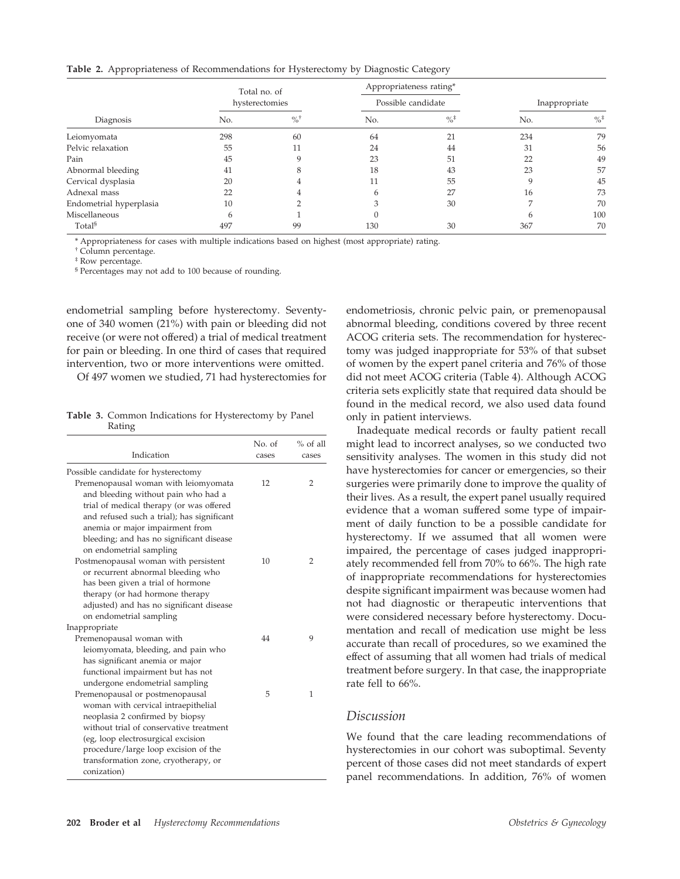|  | <b>Table 2.</b> Appropriateness of Recommendations for Hysterectomy by Diagnostic Category |  |  |  |  |  |  |
|--|--------------------------------------------------------------------------------------------|--|--|--|--|--|--|
|--|--------------------------------------------------------------------------------------------|--|--|--|--|--|--|

|                         | Total no. of<br>hysterectomies |               | Appropriateness rating* |               |               |               |
|-------------------------|--------------------------------|---------------|-------------------------|---------------|---------------|---------------|
|                         |                                |               | Possible candidate      |               | Inappropriate |               |
| Diagnosis               | No.                            | $\frac{0}{0}$ | No.                     | $\frac{0}{2}$ | No.           | $\frac{0}{6}$ |
| Leiomyomata             | 298                            | 60            | 64                      | 21            | 234           | 79            |
| Pelvic relaxation       | 55                             | 11            | 24                      | 44            | 31            | 56            |
| Pain                    | 45                             |               | 23                      | 51            | 22            | 49            |
| Abnormal bleeding       | 41                             | õ             | 18                      | 43            | 23            | 57            |
| Cervical dysplasia      | 20                             |               | 11                      | 55            | $\mathbf Q$   | 45            |
| Adnexal mass            | 22                             |               |                         | 27            | 16            | 73            |
| Endometrial hyperplasia | 10                             |               |                         | 30            |               | 70            |
| Miscellaneous           | 6                              |               |                         |               | h             | 100           |
| Total <sup>§</sup>      | 497                            | 99            | 130                     | 30            | 367           | 70            |

\* Appropriateness for cases with multiple indications based on highest (most appropriate) rating.

† Column percentage.

‡ Row percentage.

§ Percentages may not add to 100 because of rounding.

endometrial sampling before hysterectomy. Seventyone of 340 women (21%) with pain or bleeding did not receive (or were not offered) a trial of medical treatment for pain or bleeding. In one third of cases that required intervention, two or more interventions were omitted.

Of 497 women we studied, 71 had hysterectomies for

**Table 3.** Common Indications for Hysterectomy by Panel Rating

| Indication                                 | No. of<br>cases | $%$ of all<br>cases |
|--------------------------------------------|-----------------|---------------------|
| Possible candidate for hysterectomy        |                 |                     |
| Premenopausal woman with leiomyomata       | 12              | 2                   |
| and bleeding without pain who had a        |                 |                     |
| trial of medical therapy (or was offered   |                 |                     |
| and refused such a trial); has significant |                 |                     |
| anemia or major impairment from            |                 |                     |
| bleeding; and has no significant disease   |                 |                     |
| on endometrial sampling                    |                 |                     |
| Postmenopausal woman with persistent       | 10              | 2                   |
| or recurrent abnormal bleeding who         |                 |                     |
| has been given a trial of hormone          |                 |                     |
| therapy (or had hormone therapy            |                 |                     |
| adjusted) and has no significant disease   |                 |                     |
| on endometrial sampling                    |                 |                     |
| Inappropriate<br>Premenopausal woman with  | 44              | 9                   |
| leiomyomata, bleeding, and pain who        |                 |                     |
| has significant anemia or major            |                 |                     |
| functional impairment but has not          |                 |                     |
| undergone endometrial sampling             |                 |                     |
| Premenopausal or postmenopausal            | 5               | 1                   |
| woman with cervical intraepithelial        |                 |                     |
| neoplasia 2 confirmed by biopsy            |                 |                     |
| without trial of conservative treatment    |                 |                     |
| (eg, loop electrosurgical excision         |                 |                     |
| procedure/large loop excision of the       |                 |                     |
| transformation zone, cryotherapy, or       |                 |                     |
| conization)                                |                 |                     |

endometriosis, chronic pelvic pain, or premenopausal abnormal bleeding, conditions covered by three recent ACOG criteria sets. The recommendation for hysterectomy was judged inappropriate for 53% of that subset of women by the expert panel criteria and 76% of those did not meet ACOG criteria (Table 4). Although ACOG criteria sets explicitly state that required data should be found in the medical record, we also used data found only in patient interviews.

Inadequate medical records or faulty patient recall might lead to incorrect analyses, so we conducted two sensitivity analyses. The women in this study did not have hysterectomies for cancer or emergencies, so their surgeries were primarily done to improve the quality of their lives. As a result, the expert panel usually required evidence that a woman suffered some type of impairment of daily function to be a possible candidate for hysterectomy. If we assumed that all women were impaired, the percentage of cases judged inappropriately recommended fell from 70% to 66%. The high rate of inappropriate recommendations for hysterectomies despite significant impairment was because women had not had diagnostic or therapeutic interventions that were considered necessary before hysterectomy. Documentation and recall of medication use might be less accurate than recall of procedures, so we examined the effect of assuming that all women had trials of medical treatment before surgery. In that case, the inappropriate rate fell to 66%.

#### *Discussion*

We found that the care leading recommendations of hysterectomies in our cohort was suboptimal. Seventy percent of those cases did not meet standards of expert panel recommendations. In addition, 76% of women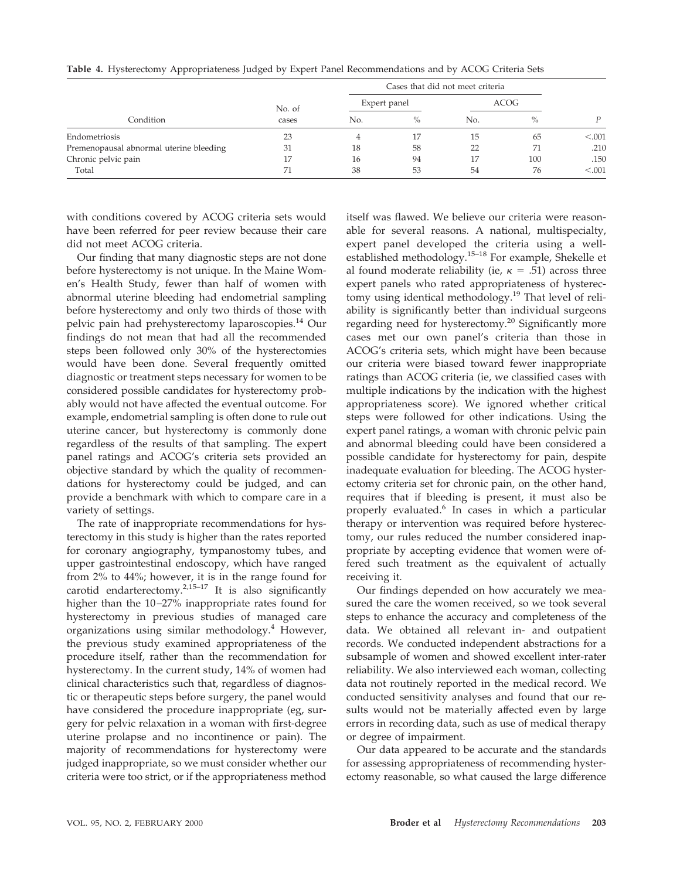|                                         | No. of<br>cases |              |      | Cases that did not meet criteria |      |         |
|-----------------------------------------|-----------------|--------------|------|----------------------------------|------|---------|
|                                         |                 | Expert panel |      | ACOG                             |      |         |
| Condition                               |                 | No.          | $\%$ | No.                              | $\%$ |         |
| Endometriosis                           | 23              | 4            | 17   | 15                               | 65   | < .001  |
| Premenopausal abnormal uterine bleeding | 31              | 18           | 58   | 22                               | 71   | .210    |
| Chronic pelvic pain                     |                 | 16           | 94   | 17                               | 100  | .150    |
| Total                                   | 71              | 38           | 53   | 54                               | 76   | < 0.001 |

**Table 4.** Hysterectomy Appropriateness Judged by Expert Panel Recommendations and by ACOG Criteria Sets

with conditions covered by ACOG criteria sets would have been referred for peer review because their care did not meet ACOG criteria.

Our finding that many diagnostic steps are not done before hysterectomy is not unique. In the Maine Women's Health Study, fewer than half of women with abnormal uterine bleeding had endometrial sampling before hysterectomy and only two thirds of those with pelvic pain had prehysterectomy laparoscopies.<sup>14</sup> Our findings do not mean that had all the recommended steps been followed only 30% of the hysterectomies would have been done. Several frequently omitted diagnostic or treatment steps necessary for women to be considered possible candidates for hysterectomy probably would not have affected the eventual outcome. For example, endometrial sampling is often done to rule out uterine cancer, but hysterectomy is commonly done regardless of the results of that sampling. The expert panel ratings and ACOG's criteria sets provided an objective standard by which the quality of recommendations for hysterectomy could be judged, and can provide a benchmark with which to compare care in a variety of settings.

The rate of inappropriate recommendations for hysterectomy in this study is higher than the rates reported for coronary angiography, tympanostomy tubes, and upper gastrointestinal endoscopy, which have ranged from 2% to 44%; however, it is in the range found for carotid endarterectomy. $2,15-17$  It is also significantly higher than the 10–27% inappropriate rates found for hysterectomy in previous studies of managed care organizations using similar methodology.4 However, the previous study examined appropriateness of the procedure itself, rather than the recommendation for hysterectomy. In the current study, 14% of women had clinical characteristics such that, regardless of diagnostic or therapeutic steps before surgery, the panel would have considered the procedure inappropriate (eg, surgery for pelvic relaxation in a woman with first-degree uterine prolapse and no incontinence or pain). The majority of recommendations for hysterectomy were judged inappropriate, so we must consider whether our criteria were too strict, or if the appropriateness method

itself was flawed. We believe our criteria were reasonable for several reasons. A national, multispecialty, expert panel developed the criteria using a wellestablished methodology.<sup>15–18</sup> For example, Shekelle et al found moderate reliability (ie,  $\kappa = .51$ ) across three expert panels who rated appropriateness of hysterectomy using identical methodology.<sup>19</sup> That level of reliability is significantly better than individual surgeons regarding need for hysterectomy.<sup>20</sup> Significantly more cases met our own panel's criteria than those in ACOG's criteria sets, which might have been because our criteria were biased toward fewer inappropriate ratings than ACOG criteria (ie, we classified cases with multiple indications by the indication with the highest appropriateness score). We ignored whether critical steps were followed for other indications. Using the expert panel ratings, a woman with chronic pelvic pain and abnormal bleeding could have been considered a possible candidate for hysterectomy for pain, despite inadequate evaluation for bleeding. The ACOG hysterectomy criteria set for chronic pain, on the other hand, requires that if bleeding is present, it must also be properly evaluated.<sup>6</sup> In cases in which a particular therapy or intervention was required before hysterectomy, our rules reduced the number considered inappropriate by accepting evidence that women were offered such treatment as the equivalent of actually receiving it.

Our findings depended on how accurately we measured the care the women received, so we took several steps to enhance the accuracy and completeness of the data. We obtained all relevant in- and outpatient records. We conducted independent abstractions for a subsample of women and showed excellent inter-rater reliability. We also interviewed each woman, collecting data not routinely reported in the medical record. We conducted sensitivity analyses and found that our results would not be materially affected even by large errors in recording data, such as use of medical therapy or degree of impairment.

Our data appeared to be accurate and the standards for assessing appropriateness of recommending hysterectomy reasonable, so what caused the large difference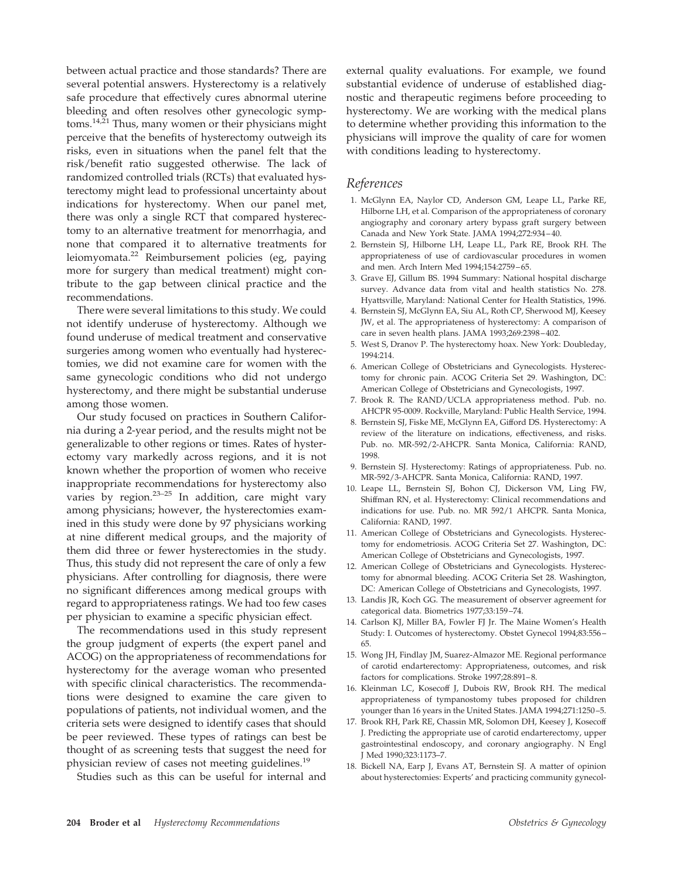between actual practice and those standards? There are several potential answers. Hysterectomy is a relatively safe procedure that effectively cures abnormal uterine bleeding and often resolves other gynecologic symptoms.<sup>14,21</sup> Thus, many women or their physicians might perceive that the benefits of hysterectomy outweigh its risks, even in situations when the panel felt that the risk/benefit ratio suggested otherwise. The lack of randomized controlled trials (RCTs) that evaluated hysterectomy might lead to professional uncertainty about indications for hysterectomy. When our panel met, there was only a single RCT that compared hysterectomy to an alternative treatment for menorrhagia, and none that compared it to alternative treatments for leiomyomata.<sup>22</sup> Reimbursement policies (eg, paying more for surgery than medical treatment) might contribute to the gap between clinical practice and the recommendations.

There were several limitations to this study. We could not identify underuse of hysterectomy. Although we found underuse of medical treatment and conservative surgeries among women who eventually had hysterectomies, we did not examine care for women with the same gynecologic conditions who did not undergo hysterectomy, and there might be substantial underuse among those women.

Our study focused on practices in Southern California during a 2-year period, and the results might not be generalizable to other regions or times. Rates of hysterectomy vary markedly across regions, and it is not known whether the proportion of women who receive inappropriate recommendations for hysterectomy also varies by region. $23-25$  In addition, care might vary among physicians; however, the hysterectomies examined in this study were done by 97 physicians working at nine different medical groups, and the majority of them did three or fewer hysterectomies in the study. Thus, this study did not represent the care of only a few physicians. After controlling for diagnosis, there were no significant differences among medical groups with regard to appropriateness ratings. We had too few cases per physician to examine a specific physician effect.

The recommendations used in this study represent the group judgment of experts (the expert panel and ACOG) on the appropriateness of recommendations for hysterectomy for the average woman who presented with specific clinical characteristics. The recommendations were designed to examine the care given to populations of patients, not individual women, and the criteria sets were designed to identify cases that should be peer reviewed. These types of ratings can best be thought of as screening tests that suggest the need for physician review of cases not meeting guidelines.<sup>19</sup>

Studies such as this can be useful for internal and

external quality evaluations. For example, we found substantial evidence of underuse of established diagnostic and therapeutic regimens before proceeding to hysterectomy. We are working with the medical plans to determine whether providing this information to the physicians will improve the quality of care for women with conditions leading to hysterectomy.

### *References*

- 1. McGlynn EA, Naylor CD, Anderson GM, Leape LL, Parke RE, Hilborne LH, et al. Comparison of the appropriateness of coronary angiography and coronary artery bypass graft surgery between Canada and New York State. JAMA 1994;272:934–40.
- 2. Bernstein SJ, Hilborne LH, Leape LL, Park RE, Brook RH. The appropriateness of use of cardiovascular procedures in women and men. Arch Intern Med 1994;154:2759–65.
- 3. Grave EJ, Gillum BS. 1994 Summary: National hospital discharge survey. Advance data from vital and health statistics No. 278. Hyattsville, Maryland: National Center for Health Statistics, 1996.
- 4. Bernstein SJ, McGlynn EA, Siu AL, Roth CP, Sherwood MJ, Keesey JW, et al. The appropriateness of hysterectomy: A comparison of care in seven health plans. JAMA 1993;269:2398–402.
- 5. West S, Dranov P. The hysterectomy hoax. New York: Doubleday, 1994:214.
- 6. American College of Obstetricians and Gynecologists. Hysterectomy for chronic pain. ACOG Criteria Set 29. Washington, DC: American College of Obstetricians and Gynecologists, 1997.
- 7. Brook R. The RAND/UCLA appropriateness method. Pub. no. AHCPR 95-0009. Rockville, Maryland: Public Health Service, 1994.
- 8. Bernstein SJ, Fiske ME, McGlynn EA, Gifford DS. Hysterectomy: A review of the literature on indications, effectiveness, and risks. Pub. no. MR-592/2-AHCPR. Santa Monica, California: RAND, 1998.
- 9. Bernstein SJ. Hysterectomy: Ratings of appropriateness. Pub. no. MR-592/3-AHCPR. Santa Monica, California: RAND, 1997.
- 10. Leape LL, Bernstein SJ, Bohon CJ, Dickerson VM, Ling FW, Shiffman RN, et al. Hysterectomy: Clinical recommendations and indications for use. Pub. no. MR 592/1 AHCPR. Santa Monica, California: RAND, 1997.
- 11. American College of Obstetricians and Gynecologists. Hysterectomy for endometriosis. ACOG Criteria Set 27. Washington, DC: American College of Obstetricians and Gynecologists, 1997.
- 12. American College of Obstetricians and Gynecologists. Hysterectomy for abnormal bleeding. ACOG Criteria Set 28. Washington, DC: American College of Obstetricians and Gynecologists, 1997.
- 13. Landis JR, Koch GG. The measurement of observer agreement for categorical data. Biometrics 1977;33:159–74.
- 14. Carlson KJ, Miller BA, Fowler FJ Jr. The Maine Women's Health Study: I. Outcomes of hysterectomy. Obstet Gynecol 1994;83:556– 65.
- 15. Wong JH, Findlay JM, Suarez-Almazor ME. Regional performance of carotid endarterectomy: Appropriateness, outcomes, and risk factors for complications. Stroke 1997;28:891–8.
- 16. Kleinman LC, Kosecoff J, Dubois RW, Brook RH. The medical appropriateness of tympanostomy tubes proposed for children younger than 16 years in the United States. JAMA 1994;271:1250–5.
- 17. Brook RH, Park RE, Chassin MR, Solomon DH, Keesey J, Kosecoff J. Predicting the appropriate use of carotid endarterectomy, upper gastrointestinal endoscopy, and coronary angiography. N Engl J Med 1990;323:1173–7.
- 18. Bickell NA, Earp J, Evans AT, Bernstein SJ. A matter of opinion about hysterectomies: Experts' and practicing community gynecol-